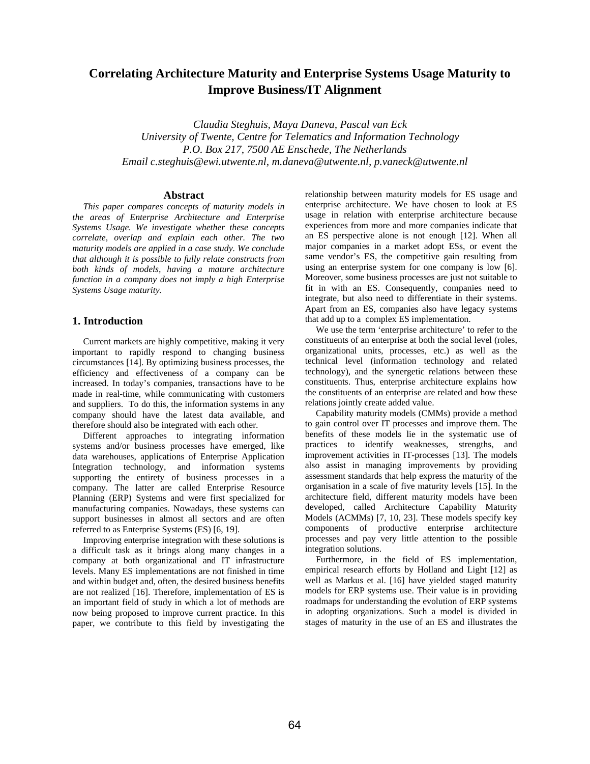# **Correlating Architecture Maturity and Enterprise Systems Usage Maturity to Improve Business/IT Alignment**

*Claudia Steghuis, Maya Daneva, Pascal van Eck University of Twente, Centre for Telematics and Information Technology P.O. Box 217, 7500 AE Enschede, The Netherlands Email c.steghuis@ewi.utwente.nl, m.daneva@utwente.nl, p.vaneck@utwente.nl*

### **Abstract**

*This paper compares concepts of maturity models in the areas of Enterprise Architecture and Enterprise Systems Usage. We investigate whether these concepts correlate, overlap and explain each other. The two maturity models are applied in a case study. We conclude that although it is possible to fully relate constructs from both kinds of models, having a mature architecture function in a company does not imply a high Enterprise Systems Usage maturity.*

# **1. Introduction**

Current markets are highly competitive, making it very important to rapidly respond to changing business circumstances [14]. By optimizing business processes, the efficiency and effectiveness of a company can be increased. In today's companies, transactions have to be made in real-time, while communicating with customers and suppliers. To do this, the information systems in any company should have the latest data available, and therefore should also be integrated with each other.

Different approaches to integrating information systems and/or business processes have emerged, like data warehouses, applications of Enterprise Application Integration technology, and information systems supporting the entirety of business processes in a company. The latter are called Enterprise Resource Planning (ERP) Systems and were first specialized for manufacturing companies. Nowadays, these systems can support businesses in almost all sectors and are often referred to as Enterprise Systems (ES) [6, 19].

Improving enterprise integration with these solutions is a difficult task as it brings along many changes in a company at both organizational and IT infrastructure levels. Many ES implementations are not finished in time and within budget and, often, the desired business benefits are not realized [16]. Therefore, implementation of ES is an important field of study in which a lot of methods are now being proposed to improve current practice. In this paper, we contribute to this field by investigating the

relationship between maturity models for ES usage and enterprise architecture. We have chosen to look at ES usage in relation with enterprise architecture because experiences from more and more companies indicate that an ES perspective alone is not enough [12]. When all major companies in a market adopt ESs, or event the same vendor's ES, the competitive gain resulting from using an enterprise system for one company is low [6]. Moreover, some business processes are just not suitable to fit in with an ES. Consequently, companies need to integrate, but also need to differentiate in their systems. Apart from an ES, companies also have legacy systems that add up to a complex ES implementation.

We use the term 'enterprise architecture' to refer to the constituents of an enterprise at both the social level (roles, organizational units, processes, etc.) as well as the technical level (information technology and related technology), and the synergetic relations between these constituents. Thus, enterprise architecture explains how the constituents of an enterprise are related and how these relations jointly create added value.

Capability maturity models (CMMs) provide a method to gain control over IT processes and improve them. The benefits of these models lie in the systematic use of practices to identify weaknesses, strengths, and improvement activities in IT-processes [13]. The models also assist in managing improvements by providing assessment standards that help express the maturity of the organisation in a scale of five maturity levels [15]. In the architecture field, different maturity models have been developed, called Architecture Capability Maturity Models (ACMMs) [7, 10, 23]. These models specify key components of productive enterprise architecture processes and pay very little attention to the possible integration solutions.

Furthermore, in the field of ES implementation, empirical research efforts by Holland and Light [12] as well as Markus et al. [16] have yielded staged maturity models for ERP systems use. Their value is in providing roadmaps for understanding the evolution of ERP systems in adopting organizations. Such a model is divided in stages of maturity in the use of an ES and illustrates the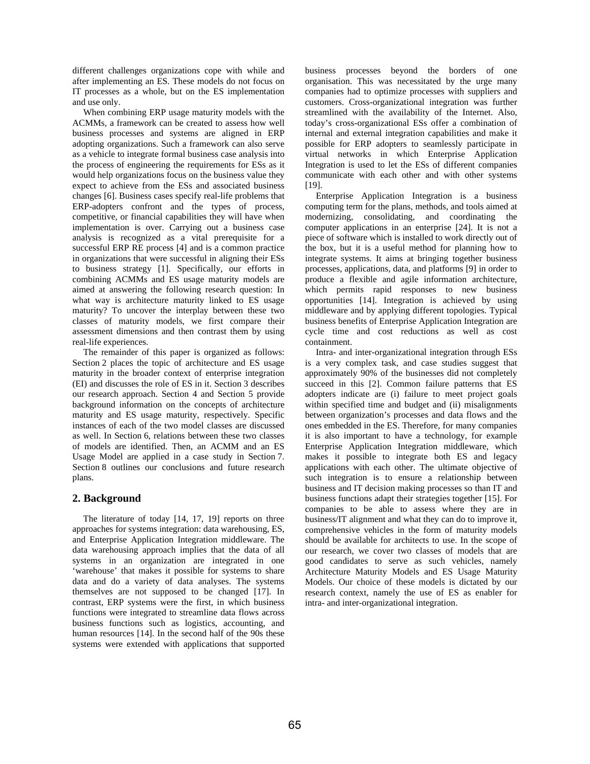different challenges organizations cope with while and after implementing an ES. These models do not focus on IT processes as a whole, but on the ES implementation and use only.

When combining ERP usage maturity models with the ACMMs, a framework can be created to assess how well business processes and systems are aligned in ERP adopting organizations. Such a framework can also serve as a vehicle to integrate formal business case analysis into the process of engineering the requirements for ESs as it would help organizations focus on the business value they expect to achieve from the ESs and associated business changes [6]. Business cases specify real-life problems that ERP-adopters confront and the types of process, competitive, or financial capabilities they will have when implementation is over. Carrying out a business case analysis is recognized as a vital prerequisite for a successful ERP RE process [4] and is a common practice in organizations that were successful in aligning their ESs to business strategy [1]. Specifically, our efforts in combining ACMMs and ES usage maturity models are aimed at answering the following research question: In what way is architecture maturity linked to ES usage maturity? To uncover the interplay between these two classes of maturity models, we first compare their assessment dimensions and then contrast them by using real-life experiences.

The remainder of this paper is organized as follows: Section 2 places the topic of architecture and ES usage maturity in the broader context of enterprise integration (EI) and discusses the role of ES in it. Section 3 describes our research approach. Section 4 and Section 5 provide background information on the concepts of architecture maturity and ES usage maturity, respectively. Specific instances of each of the two model classes are discussed as well. In Section 6, relations between these two classes of models are identified. Then, an ACMM and an ES Usage Model are applied in a case study in Section 7. Section 8 outlines our conclusions and future research plans.

# **2. Background**

The literature of today [14, 17, 19] reports on three approaches for systems integration: data warehousing, ES, and Enterprise Application Integration middleware. The data warehousing approach implies that the data of all systems in an organization are integrated in one 'warehouse' that makes it possible for systems to share data and do a variety of data analyses. The systems themselves are not supposed to be changed [17]. In contrast, ERP systems were the first, in which business functions were integrated to streamline data flows across business functions such as logistics, accounting, and human resources [14]. In the second half of the 90s these systems were extended with applications that supported business processes beyond the borders of one organisation. This was necessitated by the urge many companies had to optimize processes with suppliers and customers. Cross-organizational integration was further streamlined with the availability of the Internet. Also, today's cross-organizational ESs offer a combination of internal and external integration capabilities and make it possible for ERP adopters to seamlessly participate in virtual networks in which Enterprise Application Integration is used to let the ESs of different companies communicate with each other and with other systems [19].

Enterprise Application Integration is a business computing term for the plans, methods, and tools aimed at modernizing, consolidating, and coordinating the computer applications in an enterprise [24]. It is not a piece of software which is installed to work directly out of the box, but it is a useful method for planning how to integrate systems. It aims at bringing together business processes, applications, data, and platforms [9] in order to produce a flexible and agile information architecture, which permits rapid responses to new business opportunities [14]. Integration is achieved by using middleware and by applying different topologies. Typical business benefits of Enterprise Application Integration are cycle time and cost reductions as well as cost containment.

Intra- and inter-organizational integration through ESs is a very complex task, and case studies suggest that approximately 90% of the businesses did not completely succeed in this [2]. Common failure patterns that ES adopters indicate are (i) failure to meet project goals within specified time and budget and (ii) misalignments between organization's processes and data flows and the ones embedded in the ES. Therefore, for many companies it is also important to have a technology, for example Enterprise Application Integration middleware, which makes it possible to integrate both ES and legacy applications with each other. The ultimate objective of such integration is to ensure a relationship between business and IT decision making processes so than IT and business functions adapt their strategies together [15]. For companies to be able to assess where they are in business/IT alignment and what they can do to improve it, comprehensive vehicles in the form of maturity models should be available for architects to use. In the scope of our research, we cover two classes of models that are good candidates to serve as such vehicles, namely Architecture Maturity Models and ES Usage Maturity Models. Our choice of these models is dictated by our research context, namely the use of ES as enabler for intra- and inter-organizational integration.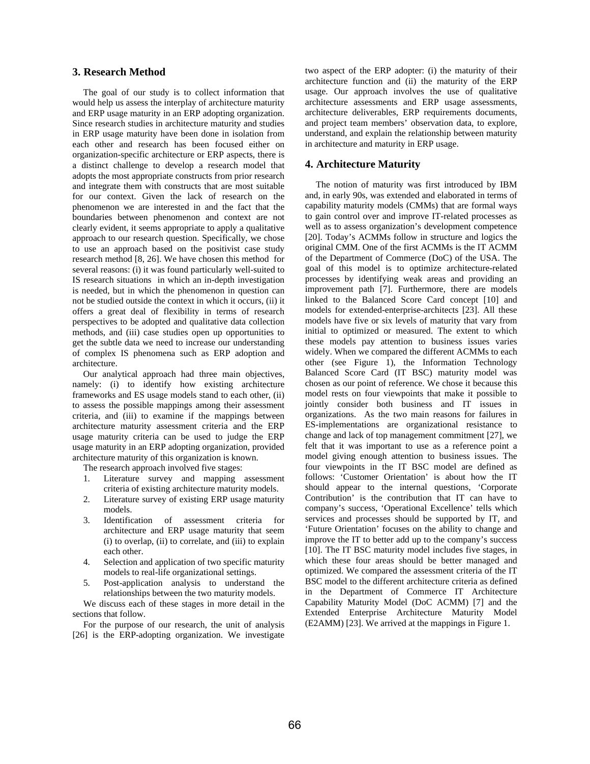# **3. Research Method**

The goal of our study is to collect information that would help us assess the interplay of architecture maturity and ERP usage maturity in an ERP adopting organization. Since research studies in architecture maturity and studies in ERP usage maturity have been done in isolation from each other and research has been focused either on organization-specific architecture or ERP aspects, there is a distinct challenge to develop a research model that adopts the most appropriate constructs from prior research and integrate them with constructs that are most suitable for our context. Given the lack of research on the phenomenon we are interested in and the fact that the boundaries between phenomenon and context are not clearly evident, it seems appropriate to apply a qualitative approach to our research question. Specifically, we chose to use an approach based on the positivist case study research method [8, 26]. We have chosen this method for several reasons: (i) it was found particularly well-suited to IS research situations in which an in-depth investigation is needed, but in which the phenomenon in question can not be studied outside the context in which it occurs, (ii) it offers a great deal of flexibility in terms of research perspectives to be adopted and qualitative data collection methods, and (iii) case studies open up opportunities to get the subtle data we need to increase our understanding of complex IS phenomena such as ERP adoption and architecture.

Our analytical approach had three main objectives, namely: (i) to identify how existing architecture frameworks and ES usage models stand to each other, (ii) to assess the possible mappings among their assessment criteria, and (iii) to examine if the mappings between architecture maturity assessment criteria and the ERP usage maturity criteria can be used to judge the ERP usage maturity in an ERP adopting organization, provided architecture maturity of this organization is known.

The research approach involved five stages:

- 1. Literature survey and mapping assessment criteria of existing architecture maturity models.
- 2. Literature survey of existing ERP usage maturity models.
- 3. Identification of assessment criteria for architecture and ERP usage maturity that seem (i) to overlap, (ii) to correlate, and (iii) to explain each other.
- 4. Selection and application of two specific maturity models to real-life organizational settings.
- 5. Post-application analysis to understand the relationships between the two maturity models.

We discuss each of these stages in more detail in the sections that follow.

For the purpose of our research, the unit of analysis [26] is the ERP-adopting organization. We investigate two aspect of the ERP adopter: (i) the maturity of their architecture function and (ii) the maturity of the ERP usage. Our approach involves the use of qualitative architecture assessments and ERP usage assessments, architecture deliverables, ERP requirements documents, and project team members' observation data, to explore, understand, and explain the relationship between maturity in architecture and maturity in ERP usage.

# **4. Architecture Maturity**

The notion of maturity was first introduced by IBM and, in early 90s, was extended and elaborated in terms of capability maturity models (CMMs) that are formal ways to gain control over and improve IT-related processes as well as to assess organization's development competence [20]. Today's ACMMs follow in structure and logics the original CMM. One of the first ACMMs is the IT ACMM of the Department of Commerce (DoC) of the USA. The goal of this model is to optimize architecture-related processes by identifying weak areas and providing an improvement path [7]. Furthermore, there are models linked to the Balanced Score Card concept [10] and models for extended-enterprise-architects [23]. All these models have five or six levels of maturity that vary from initial to optimized or measured. The extent to which these models pay attention to business issues varies widely. When we compared the different ACMMs to each other (see Figure 1), the Information Technology Balanced Score Card (IT BSC) maturity model was chosen as our point of reference. We chose it because this model rests on four viewpoints that make it possible to jointly consider both business and IT issues in organizations. As the two main reasons for failures in ES-implementations are organizational resistance to change and lack of top management commitment [27], we felt that it was important to use as a reference point a model giving enough attention to business issues. The four viewpoints in the IT BSC model are defined as follows: 'Customer Orientation' is about how the IT should appear to the internal questions, 'Corporate Contribution' is the contribution that IT can have to company's success, 'Operational Excellence' tells which services and processes should be supported by IT, and 'Future Orientation' focuses on the ability to change and improve the IT to better add up to the company's success [10]. The IT BSC maturity model includes five stages, in which these four areas should be better managed and optimized. We compared the assessment criteria of the IT BSC model to the different architecture criteria as defined in the Department of Commerce IT Architecture Capability Maturity Model (DoC ACMM) [7] and the Extended Enterprise Architecture Maturity Model (E2AMM) [23]. We arrived at the mappings in Figure 1.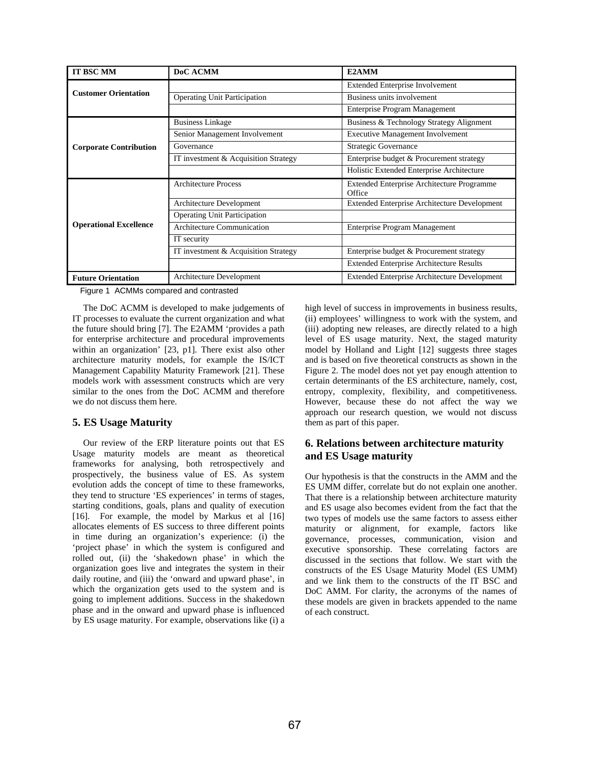| <b>IT BSC MM</b>              | DoC ACMM                             | E2AMM                                                |  |
|-------------------------------|--------------------------------------|------------------------------------------------------|--|
| <b>Customer Orientation</b>   |                                      | <b>Extended Enterprise Involvement</b>               |  |
|                               | <b>Operating Unit Participation</b>  | Business units involvement                           |  |
|                               |                                      | <b>Enterprise Program Management</b>                 |  |
| <b>Corporate Contribution</b> | <b>Business Linkage</b>              | Business & Technology Strategy Alignment             |  |
|                               | Senior Management Involvement        | <b>Executive Management Involvement</b>              |  |
|                               | Governance                           | Strategic Governance                                 |  |
|                               | IT investment & Acquisition Strategy | Enterprise budget & Procurement strategy             |  |
|                               |                                      | Holistic Extended Enterprise Architecture            |  |
| <b>Operational Excellence</b> | <b>Architecture Process</b>          | Extended Enterprise Architecture Programme<br>Office |  |
|                               | Architecture Development             | <b>Extended Enterprise Architecture Development</b>  |  |
|                               | <b>Operating Unit Participation</b>  |                                                      |  |
|                               | <b>Architecture Communication</b>    | <b>Enterprise Program Management</b>                 |  |
|                               | IT security                          |                                                      |  |
|                               | IT investment & Acquisition Strategy | Enterprise budget & Procurement strategy             |  |
|                               |                                      | <b>Extended Enterprise Architecture Results</b>      |  |
| <b>Future Orientation</b>     | Architecture Development             | <b>Extended Enterprise Architecture Development</b>  |  |

Figure 1 ACMMs compared and contrasted

The DoC ACMM is developed to make judgements of IT processes to evaluate the current organization and what the future should bring [7]. The E2AMM 'provides a path for enterprise architecture and procedural improvements within an organization' [23, p1]. There exist also other architecture maturity models, for example the IS/ICT Management Capability Maturity Framework [21]. These models work with assessment constructs which are very similar to the ones from the DoC ACMM and therefore we do not discuss them here.

# **5. ES Usage Maturity**

Our review of the ERP literature points out that ES Usage maturity models are meant as theoretical frameworks for analysing, both retrospectively and prospectively, the business value of ES. As system evolution adds the concept of time to these frameworks, they tend to structure 'ES experiences' in terms of stages, starting conditions, goals, plans and quality of execution [16]. For example, the model by Markus et al [16] allocates elements of ES success to three different points in time during an organization's experience: (i) the 'project phase' in which the system is configured and rolled out, (ii) the 'shakedown phase' in which the organization goes live and integrates the system in their daily routine, and (iii) the 'onward and upward phase', in which the organization gets used to the system and is going to implement additions. Success in the shakedown phase and in the onward and upward phase is influenced by ES usage maturity. For example, observations like (i) a high level of success in improvements in business results, (ii) employees' willingness to work with the system, and (iii) adopting new releases, are directly related to a high level of ES usage maturity. Next, the staged maturity model by Holland and Light [12] suggests three stages and is based on five theoretical constructs as shown in the Figure 2. The model does not yet pay enough attention to certain determinants of the ES architecture, namely, cost, entropy, complexity, flexibility, and competitiveness. However, because these do not affect the way we approach our research question, we would not discuss them as part of this paper.

# **6. Relations between architecture maturity and ES Usage maturity**

Our hypothesis is that the constructs in the AMM and the ES UMM differ, correlate but do not explain one another. That there is a relationship between architecture maturity and ES usage also becomes evident from the fact that the two types of models use the same factors to assess either maturity or alignment, for example, factors like governance, processes, communication, vision and executive sponsorship. These correlating factors are discussed in the sections that follow. We start with the constructs of the ES Usage Maturity Model (ES UMM) and we link them to the constructs of the IT BSC and DoC AMM. For clarity, the acronyms of the names of these models are given in brackets appended to the name of each construct.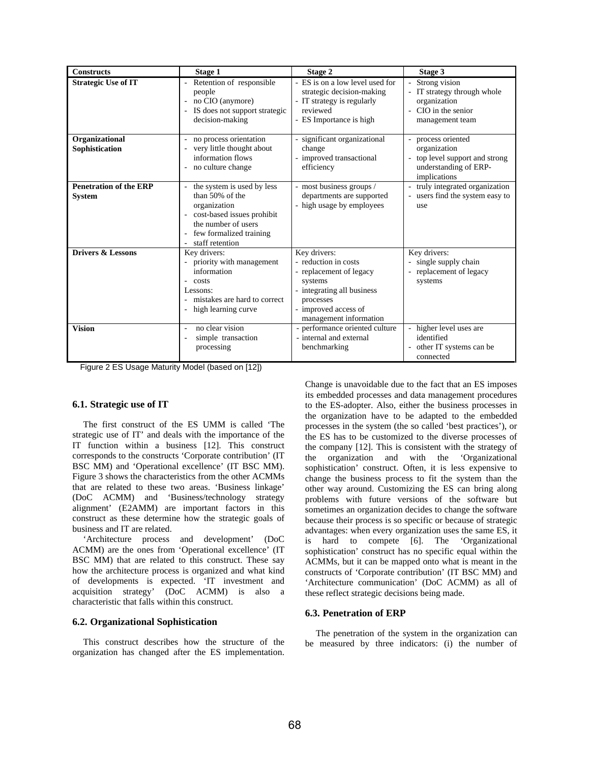| <b>Constructs</b>                              | Stage 1                                                                                                                                                                | Stage 2                                                                                                                                                                 | Stage 3                                                                                                       |
|------------------------------------------------|------------------------------------------------------------------------------------------------------------------------------------------------------------------------|-------------------------------------------------------------------------------------------------------------------------------------------------------------------------|---------------------------------------------------------------------------------------------------------------|
| <b>Strategic Use of IT</b>                     | Retention of responsible<br>people<br>no CIO (anymore)<br>- IS does not support strategic<br>decision-making                                                           | - ES is on a low level used for<br>strategic decision-making<br>- IT strategy is regularly<br>reviewed<br>- ES Importance is high                                       | Strong vision<br>IT strategy through whole<br>organization<br>CIO in the senior<br>management team            |
| Organizational<br>Sophistication               | - no process orientation<br>- very little thought about<br>information flows<br>- no culture change                                                                    | - significant organizational<br>change<br>- improved transactional<br>efficiency                                                                                        | - process oriented<br>organization<br>- top level support and strong<br>understanding of ERP-<br>implications |
| <b>Penetration of the ERP</b><br><b>System</b> | the system is used by less<br>than 50% of the<br>organization<br>- cost-based issues prohibit<br>the number of users<br>- few formalized training<br>- staff retention | - most business groups /<br>departments are supported<br>- high usage by employees                                                                                      | truly integrated organization<br>$\overline{\phantom{a}}$<br>users find the system easy to<br>use             |
| <b>Drivers &amp; Lessons</b>                   | Key drivers:<br>- priority with management<br>information<br>$-costs$<br>Lessons:<br>mistakes are hard to correct<br>- high learning curve                             | Key drivers:<br>- reduction in costs<br>- replacement of legacy<br>systems<br>- integrating all business<br>processes<br>- improved access of<br>management information | Key drivers:<br>single supply chain<br>÷.<br>replacement of legacy<br>systems                                 |
| <b>Vision</b>                                  | no clear vision<br>simple transaction<br>processing                                                                                                                    | - performance oriented culture<br>- internal and external<br>benchmarking                                                                                               | higher level uses are<br>identified<br>other IT systems can be<br>connected                                   |

Figure 2 ES Usage Maturity Model (based on [12])

#### **6.1. Strategic use of IT**

The first construct of the ES UMM is called 'The strategic use of IT' and deals with the importance of the IT function within a business [12]. This construct corresponds to the constructs 'Corporate contribution' (IT BSC MM) and 'Operational excellence' (IT BSC MM). Figure 3 shows the characteristics from the other ACMMs that are related to these two areas. 'Business linkage' (DoC ACMM) and 'Business/technology strategy alignment' (E2AMM) are important factors in this construct as these determine how the strategic goals of business and IT are related.

'Architecture process and development' (DoC ACMM) are the ones from 'Operational excellence' (IT BSC MM) that are related to this construct. These say how the architecture process is organized and what kind of developments is expected. 'IT investment and acquisition strategy' (DoC ACMM) is also a characteristic that falls within this construct.

#### **6.2. Organizational Sophistication**

This construct describes how the structure of the organization has changed after the ES implementation. Change is unavoidable due to the fact that an ES imposes its embedded processes and data management procedures to the ES-adopter. Also, either the business processes in the organization have to be adapted to the embedded processes in the system (the so called 'best practices'), or the ES has to be customized to the diverse processes of the company [12]. This is consistent with the strategy of the organization and with the 'Organizational sophistication' construct. Often, it is less expensive to change the business process to fit the system than the other way around. Customizing the ES can bring along problems with future versions of the software but sometimes an organization decides to change the software because their process is so specific or because of strategic advantages: when every organization uses the same ES, it is hard to compete [6]. The 'Organizational sophistication' construct has no specific equal within the ACMMs, but it can be mapped onto what is meant in the constructs of 'Corporate contribution' (IT BSC MM) and 'Architecture communication' (DoC ACMM) as all of these reflect strategic decisions being made.

#### **6.3. Penetration of ERP**

The penetration of the system in the organization can be measured by three indicators: (i) the number of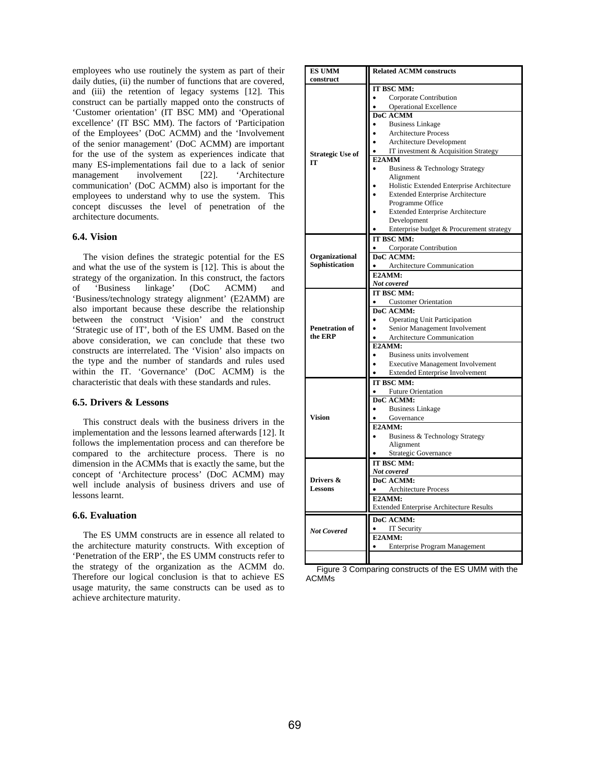employees who use routinely the system as part of their daily duties, (ii) the number of functions that are covered, and (iii) the retention of legacy systems [12]. This construct can be partially mapped onto the constructs of 'Customer orientation' (IT BSC MM) and 'Operational excellence' (IT BSC MM). The factors of 'Participation of the Employees' (DoC ACMM) and the 'Involvement of the senior management' (DoC ACMM) are important for the use of the system as experiences indicate that many ES-implementations fail due to a lack of senior management involvement [22]. 'Architecture communication' (DoC ACMM) also is important for the employees to understand why to use the system. This concept discusses the level of penetration of the architecture documents.

### **6.4. Vision**

The vision defines the strategic potential for the ES and what the use of the system is [12]. This is about the strategy of the organization. In this construct, the factors of 'Business linkage' (DoC ACMM) and 'Business/technology strategy alignment' (E2AMM) are also important because these describe the relationship between the construct 'Vision' and the construct 'Strategic use of IT', both of the ES UMM. Based on the above consideration, we can conclude that these two constructs are interrelated. The 'Vision' also impacts on the type and the number of standards and rules used within the IT. 'Governance' (DoC ACMM) is the characteristic that deals with these standards and rules.

### **6.5. Drivers & Lessons**

This construct deals with the business drivers in the implementation and the lessons learned afterwards [12]. It follows the implementation process and can therefore be compared to the architecture process. There is no dimension in the ACMMs that is exactly the same, but the concept of 'Architecture process' (DoC ACMM) may well include analysis of business drivers and use of lessons learnt.

### **6.6. Evaluation**

The ES UMM constructs are in essence all related to the architecture maturity constructs. With exception of 'Penetration of the ERP', the ES UMM constructs refer to the strategy of the organization as the ACMM do. Therefore our logical conclusion is that to achieve ES usage maturity, the same constructs can be used as to achieve architecture maturity.

| <b>ES UMM</b><br>construct       | <b>Related ACMM constructs</b>                  |  |  |
|----------------------------------|-------------------------------------------------|--|--|
|                                  |                                                 |  |  |
|                                  | IT BSC MM:                                      |  |  |
|                                  | Corporate Contribution                          |  |  |
|                                  | <b>Operational Excellence</b>                   |  |  |
|                                  | <b>DoC ACMM</b>                                 |  |  |
|                                  | <b>Business Linkage</b>                         |  |  |
|                                  | <b>Architecture Process</b>                     |  |  |
|                                  | Architecture Development                        |  |  |
| <b>Strategic Use of</b>          | IT investment & Acquisition Strategy            |  |  |
| ľТ                               | E2AMM                                           |  |  |
|                                  | Business & Technology Strategy                  |  |  |
|                                  | Alignment                                       |  |  |
|                                  | Holistic Extended Enterprise Architecture       |  |  |
|                                  | <b>Extended Enterprise Architecture</b>         |  |  |
|                                  | Programme Office                                |  |  |
|                                  | <b>Extended Enterprise Architecture</b>         |  |  |
|                                  | Development                                     |  |  |
|                                  | Enterprise budget & Procurement strategy        |  |  |
|                                  | IT BSC MM:                                      |  |  |
|                                  | Corporate Contribution                          |  |  |
| Organizational                   | DoC ACMM:                                       |  |  |
| Sophistication                   | Architecture Communication                      |  |  |
|                                  | E2AMM:                                          |  |  |
|                                  | Not covered                                     |  |  |
|                                  | IT BSC MM:                                      |  |  |
|                                  | <b>Customer Orientation</b>                     |  |  |
|                                  | DoC ACMM:                                       |  |  |
|                                  | <b>Operating Unit Participation</b>             |  |  |
| <b>Penetration of</b><br>the ERP | Senior Management Involvement                   |  |  |
|                                  | Architecture Communication<br>E2AMM:            |  |  |
|                                  |                                                 |  |  |
|                                  | Business units involvement                      |  |  |
|                                  | <b>Executive Management Involvement</b>         |  |  |
|                                  | <b>Extended Enterprise Involvement</b>          |  |  |
|                                  | IT BSC MM:                                      |  |  |
|                                  | <b>Future Orientation</b><br>DoC ACMM:          |  |  |
|                                  | <b>Business Linkage</b>                         |  |  |
| Vision                           | Governance                                      |  |  |
|                                  | E2AMM:                                          |  |  |
|                                  | Business & Technology Strategy                  |  |  |
|                                  | Alignment                                       |  |  |
|                                  | Strategic Governance                            |  |  |
|                                  | IT BSC MM:                                      |  |  |
|                                  | Not covered                                     |  |  |
| Drivers &                        | DoC ACMM:                                       |  |  |
| <b>Lessons</b>                   | Architecture Process                            |  |  |
|                                  | E2AMM:                                          |  |  |
|                                  | <b>Extended Enterprise Architecture Results</b> |  |  |
|                                  |                                                 |  |  |
|                                  | DoC ACMM:                                       |  |  |
| <b>Not Covered</b>               | IT Security                                     |  |  |
|                                  | E2AMM:                                          |  |  |
|                                  | Enterprise Program Management                   |  |  |
|                                  |                                                 |  |  |

Figure 3 Comparing constructs of the ES UMM with the **ACMM<sub>s</sub>**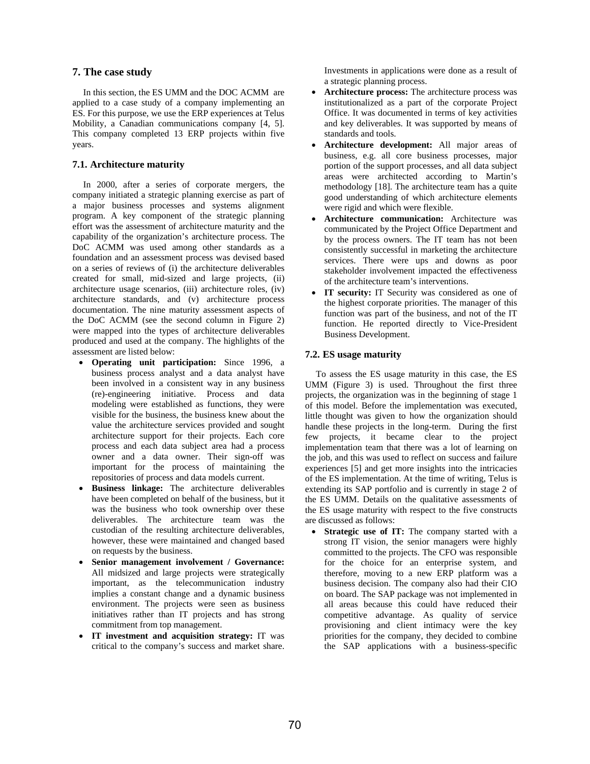# **7. The case study**

In this section, the ES UMM and the DOC ACMM are applied to a case study of a company implementing an ES. For this purpose, we use the ERP experiences at Telus Mobility, a Canadian communications company [4, 5]. This company completed 13 ERP projects within five years.

### **7.1. Architecture maturity**

In 2000, after a series of corporate mergers, the company initiated a strategic planning exercise as part of a major business processes and systems alignment program. A key component of the strategic planning effort was the assessment of architecture maturity and the capability of the organization's architecture process. The DoC ACMM was used among other standards as a foundation and an assessment process was devised based on a series of reviews of (i) the architecture deliverables created for small, mid-sized and large projects, (ii) architecture usage scenarios, (iii) architecture roles, (iv) architecture standards, and (v) architecture process documentation. The nine maturity assessment aspects of the DoC ACMM (see the second column in Figure 2) were mapped into the types of architecture deliverables produced and used at the company. The highlights of the assessment are listed below:

- ! **Operating unit participation:** Since 1996, a business process analyst and a data analyst have been involved in a consistent way in any business (re)-engineering initiative. Process and data modeling were established as functions, they were visible for the business, the business knew about the value the architecture services provided and sought architecture support for their projects. Each core process and each data subject area had a process owner and a data owner. Their sign-off was important for the process of maintaining the repositories of process and data models current.
- ! **Business linkage:** The architecture deliverables have been completed on behalf of the business, but it was the business who took ownership over these deliverables. The architecture team was the custodian of the resulting architecture deliverables, however, these were maintained and changed based on requests by the business.
- ! **Senior management involvement / Governance:** All midsized and large projects were strategically important, as the telecommunication industry implies a constant change and a dynamic business environment. The projects were seen as business initiatives rather than IT projects and has strong commitment from top management.
- ! **IT investment and acquisition strategy:** IT was critical to the company's success and market share.

Investments in applications were done as a result of a strategic planning process.

- ! **Architecture process:** The architecture process was institutionalized as a part of the corporate Project Office. It was documented in terms of key activities and key deliverables. It was supported by means of standards and tools.
- ! **Architecture development:** All major areas of business, e.g. all core business processes, major portion of the support processes, and all data subject areas were architected according to Martin's methodology [18]. The architecture team has a quite good understanding of which architecture elements were rigid and which were flexible.
- ! **Architecture communication:** Architecture was communicated by the Project Office Department and by the process owners. The IT team has not been consistently successful in marketing the architecture services. There were ups and downs as poor stakeholder involvement impacted the effectiveness of the architecture team's interventions.
- ! **IT security:** IT Security was considered as one of the highest corporate priorities. The manager of this function was part of the business, and not of the IT function. He reported directly to Vice-President Business Development.

# **7.2. ES usage maturity**

To assess the ES usage maturity in this case, the ES UMM (Figure 3) is used. Throughout the first three projects, the organization was in the beginning of stage 1 of this model. Before the implementation was executed, little thought was given to how the organization should handle these projects in the long-term. During the first few projects, it became clear to the project implementation team that there was a lot of learning on the job, and this was used to reflect on success and failure experiences [5] and get more insights into the intricacies of the ES implementation. At the time of writing, Telus is extending its SAP portfolio and is currently in stage 2 of the ES UMM. Details on the qualitative assessments of the ES usage maturity with respect to the five constructs are discussed as follows:

! **Strategic use of IT:** The company started with a strong IT vision, the senior managers were highly committed to the projects. The CFO was responsible for the choice for an enterprise system, and therefore, moving to a new ERP platform was a business decision. The company also had their CIO on board. The SAP package was not implemented in all areas because this could have reduced their competitive advantage. As quality of service provisioning and client intimacy were the key priorities for the company, they decided to combine the SAP applications with a business-specific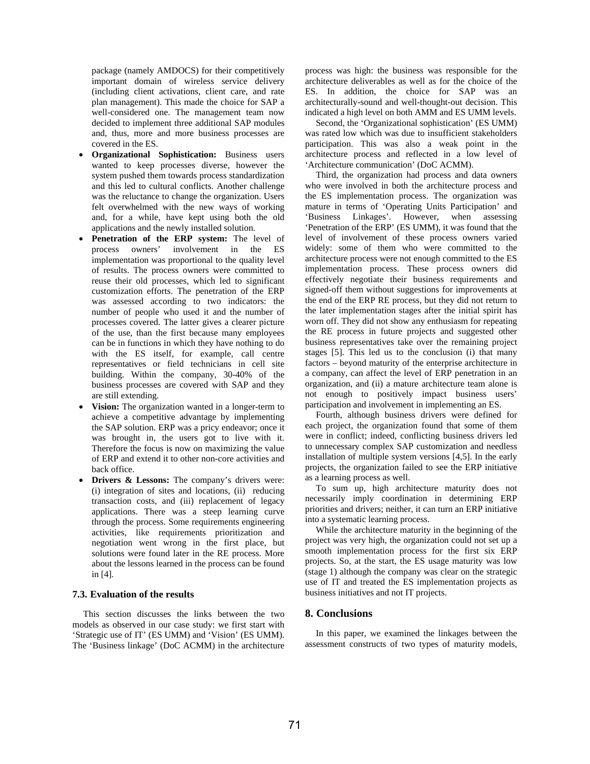package (namely AMDOCS) for their competitively important domain of wireless service delivery (including client activations, client care, and rate plan management). This made the choice for SAP a well-considered one. The management team now decided to implement three additional SAP modules and, thus, more and more business processes are covered in the ES.

- ! **Organizational Sophistication:** Business users wanted to keep processes diverse, however the system pushed them towards process standardization and this led to cultural conflicts. Another challenge was the reluctance to change the organization. Users felt overwhelmed with the new ways of working and, for a while, have kept using both the old applications and the newly installed solution.
- ! **Penetration of the ERP system:** The level of process owners' involvement in the ES implementation was proportional to the quality level of results. The process owners were committed to reuse their old processes, which led to significant customization efforts. The penetration of the ERP was assessed according to two indicators: the number of people who used it and the number of processes covered. The latter gives a clearer picture of the use, than the first because many employees can be in functions in which they have nothing to do with the ES itself, for example, call centre representatives or field technicians in cell site building. Within the company, 30-40% of the business processes are covered with SAP and they are still extending.
- **Vision:** The organization wanted in a longer-term to achieve a competitive advantage by implementing the SAP solution. ERP was a pricy endeavor; once it was brought in, the users got to live with it. Therefore the focus is now on maximizing the value of ERP and extend it to other non-core activities and back office.
- **Drivers & Lessons:** The company's drivers were: (i) integration of sites and locations, (ii) reducing transaction costs, and (iii) replacement of legacy applications. There was a steep learning curve through the process. Some requirements engineering activities, like requirements prioritization and negotiation went wrong in the first place, but solutions were found later in the RE process. More about the lessons learned in the process can be found in [4].

### **7.3. Evaluation of the results**

This section discusses the links between the two models as observed in our case study: we first start with 'Strategic use of IT' (ES UMM) and 'Vision' (ES UMM). The 'Business linkage' (DoC ACMM) in the architecture process was high: the business was responsible for the architecture deliverables as well as for the choice of the ES. In addition, the choice for SAP was an architecturally-sound and well-thought-out decision. This indicated a high level on both AMM and ES UMM levels.

Second, the 'Organizational sophistication' (ES UMM) was rated low which was due to insufficient stakeholders participation. This was also a weak point in the architecture process and reflected in a low level of 'Architecture communication' (DoC ACMM).

Third, the organization had process and data owners who were involved in both the architecture process and the ES implementation process. The organization was mature in terms of 'Operating Units Participation' and 'Business Linkages'. However, when assessing 'Penetration of the ERP' (ES UMM), it was found that the level of involvement of these process owners varied widely: some of them who were committed to the architecture process were not enough committed to the ES implementation process. These process owners did effectively negotiate their business requirements and signed-off them without suggestions for improvements at the end of the ERP RE process, but they did not return to the later implementation stages after the initial spirit has worn off. They did not show any enthusiasm for repeating the RE process in future projects and suggested other business representatives take over the remaining project stages [5]. This led us to the conclusion (i) that many factors – beyond maturity of the enterprise architecture in a company, can affect the level of ERP penetration in an organization, and (ii) a mature architecture team alone is not enough to positively impact business users' participation and involvement in implementing an ES.

Fourth, although business drivers were defined for each project, the organization found that some of them were in conflict; indeed, conflicting business drivers led to unnecessary complex SAP customization and needless installation of multiple system versions [4,5]. In the early projects, the organization failed to see the ERP initiative as a learning process as well.

To sum up, high architecture maturity does not necessarily imply coordination in determining ERP priorities and drivers; neither, it can turn an ERP initiative into a systematic learning process.

While the architecture maturity in the beginning of the project was very high, the organization could not set up a smooth implementation process for the first six ERP projects. So, at the start, the ES usage maturity was low (stage 1) although the company was clear on the strategic use of IT and treated the ES implementation projects as business initiatives and not IT projects.

### **8. Conclusions**

In this paper, we examined the linkages between the assessment constructs of two types of maturity models,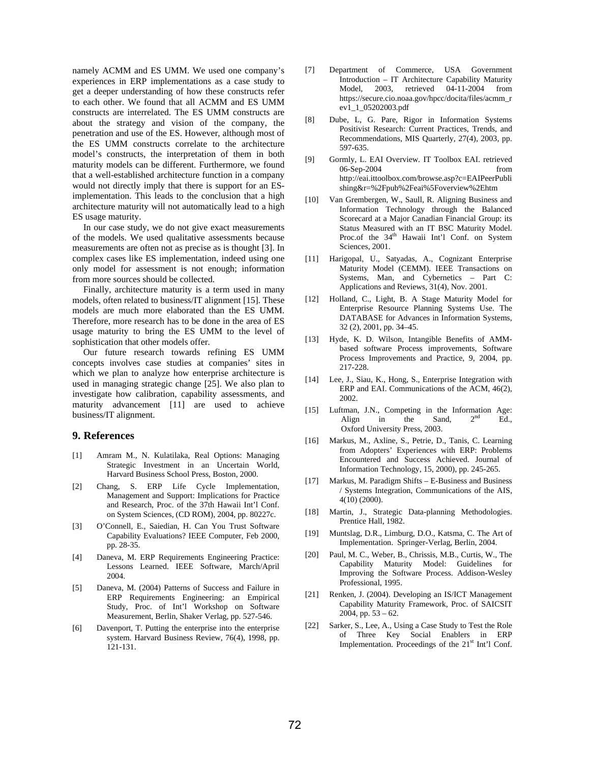namely ACMM and ES UMM. We used one company's experiences in ERP implementations as a case study to get a deeper understanding of how these constructs refer to each other. We found that all ACMM and ES UMM constructs are interrelated. The ES UMM constructs are about the strategy and vision of the company, the penetration and use of the ES. However, although most of the ES UMM constructs correlate to the architecture model's constructs, the interpretation of them in both maturity models can be different. Furthermore, we found that a well-established architecture function in a company would not directly imply that there is support for an ESimplementation. This leads to the conclusion that a high architecture maturity will not automatically lead to a high ES usage maturity.

In our case study, we do not give exact measurements of the models. We used qualitative assessments because measurements are often not as precise as is thought [3]. In complex cases like ES implementation, indeed using one only model for assessment is not enough; information from more sources should be collected.

Finally, architecture maturity is a term used in many models, often related to business/IT alignment [15]. These models are much more elaborated than the ES UMM. Therefore, more research has to be done in the area of ES usage maturity to bring the ES UMM to the level of sophistication that other models offer.

Our future research towards refining ES UMM concepts involves case studies at companies' sites in which we plan to analyze how enterprise architecture is used in managing strategic change [25]. We also plan to investigate how calibration, capability assessments, and maturity advancement [11] are used to achieve business/IT alignment.

### **9. References**

- [1] Amram M., N. Kulatilaka, Real Options: Managing Strategic Investment in an Uncertain World, Harvard Business School Press, Boston, 2000.
- [2] Chang, S. ERP Life Cycle Implementation, Management and Support: Implications for Practice and Research, Proc. of the 37th Hawaii Int'l Conf. on System Sciences, (CD ROM), 2004, pp. 80227c.
- [3] O'Connell, E., Saiedian, H. Can You Trust Software Capability Evaluations? IEEE Computer, Feb 2000, pp. 28-35.
- [4] Daneva, M. ERP Requirements Engineering Practice: Lessons Learned. IEEE Software, March/April 2004.
- [5] Daneva, M. (2004) Patterns of Success and Failure in ERP Requirements Engineering: an Empirical Study, Proc. of Int'l Workshop on Software Measurement, Berlin, Shaker Verlag, pp. 527-546.
- [6] Davenport, T. Putting the enterprise into the enterprise system. Harvard Business Review, 76(4), 1998, pp. 121-131.
- [7] Department of Commerce, USA Government Introduction – IT Architecture Capability Maturity Model, 2003, retrieved 04-11-2004 from https://secure.cio.noaa.gov/hpcc/docita/files/acmm\_r ev1\_1\_05202003.pdf
- [8] Dube, L, G. Pare, Rigor in Information Systems Positivist Research: Current Practices, Trends, and Recommendations, MIS Quarterly, 27(4), 2003, pp. 597-635.
- [9] Gormly, L. EAI Overview*.* IT Toolbox EAI. retrieved 06-Sep-2004 from from http://eai.ittoolbox.com/browse.asp?c=EAIPeerPubli shing&r=%2Fpub%2Feai%5Foverview%2Ehtm
- [10] Van Grembergen, W., Saull, R. Aligning Business and Information Technology through the Balanced Scorecard at a Major Canadian Financial Group: its Status Measured with an IT BSC Maturity Model. Proc.of the 34<sup>th</sup> Hawaii Int'l Conf. on System Sciences, 2001.
- [11] Harigopal, U., Satyadas, A., Cognizant Enterprise Maturity Model (CEMM). IEEE Transactions on Systems, Man, and Cybernetics – Part C: Applications and Reviews, 31(4), Nov. 2001.
- [12] Holland, C., Light, B. A Stage Maturity Model for Enterprise Resource Planning Systems Use. The DATABASE for Advances in Information Systems, 32 (2), 2001, pp. 34–45.
- [13] Hyde, K. D. Wilson, Intangible Benefits of AMMbased software Process improvements, Software Process Improvements and Practice, 9, 2004, pp. 217-228.
- [14] Lee, J., Siau, K., Hong, S., Enterprise Integration with ERP and EAI. Communications of the ACM, 46(2), 2002.
- [15] Luftman, J.N., Competing in the Information Age: Align in the Sand,  $2^{nd}$  Ed., Oxford University Press, 2003.
- [16] Markus, M., Axline, S., Petrie, D., Tanis, C. Learning from Adopters' Experiences with ERP: Problems Encountered and Success Achieved. Journal of Information Technology, 15, 2000), pp. 245-265.
- [17] Markus, M. Paradigm Shifts E-Business and Business / Systems Integration, Communications of the AIS, 4(10) (2000).
- [18] Martin, J., Strategic Data-planning Methodologies. Prentice Hall, 1982.
- [19] Muntslag, D.R., Limburg, D.O., Katsma, C. The Art of Implementation. Springer-Verlag, Berlin, 2004.
- [20] Paul, M. C., Weber, B., Chrissis, M.B., Curtis, W., The Capability Maturity Model: Guidelines for Improving the Software Process. Addison-Wesley Professional, 1995.
- [21] Renken, J. (2004). Developing an IS/ICT Management Capability Maturity Framework, Proc. of SAICSIT 2004, pp.  $53 - 62$ .
- [22] Sarker, S., Lee, A., Using a Case Study to Test the Role of Three Key Social Enablers in ERP Implementation. Proceedings of the  $21<sup>st</sup>$  Int'l Conf.